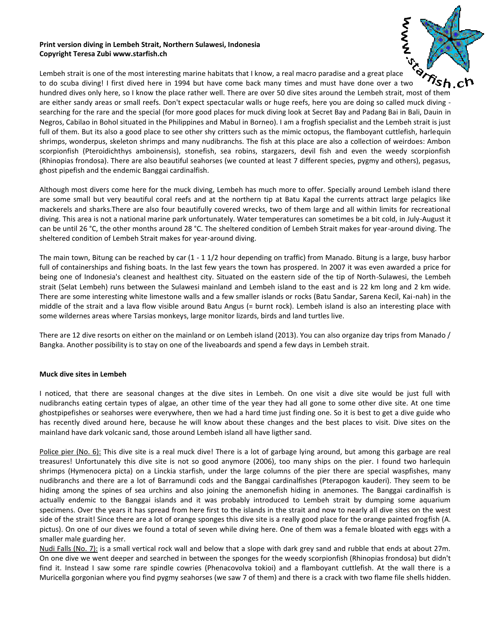### **Print version diving in Lembeh Strait, Northern Sulawesi, Indonesia Copyright Teresa Zubi www.starfish.ch**



Lembeh strait is one of the most interesting marine habitats that I know, a real macro paradise and a great place 'sh.c to do scuba diving! I first dived here in 1994 but have come back many times and must have done over a two hundred dives only here, so I know the place rather well. There are over 50 dive sites around the Lembeh strait, most of them are either sandy areas or small reefs. Don't expect spectacular walls or huge reefs, here you are doing so called muck diving searching for the rare and the special (for more good places for muck diving look at Secret Bay and Padang Bai in Bali, Dauin in Negros, Cabilao in Bohol situated in the Philippines and Mabul in Borneo). I am a frogfish specialist and the Lembeh strait is just full of them. But its also a good place to see other shy critters such as the mimic octopus, the flamboyant cuttlefish, harlequin shrimps, wonderpus, skeleton shrimps and many nudibranchs. The fish at this place are also a collection of weirdoes: Ambon scorpionfish (Pteroidichthys amboinensis), stonefish, sea robins, stargazers, devil fish and even the weedy scorpionfish (Rhinopias frondosa). There are also beautiful seahorses (we counted at least 7 different species, pygmy and others), pegasus, ghost pipefish and the endemic Banggai cardinalfish.

Although most divers come here for the muck diving, Lembeh has much more to offer. Specially around Lembeh island there are some small but very beautiful coral reefs and at the northern tip at Batu Kapal the currents attract large pelagics like mackerels and sharks.There are also four beautifully covered wrecks, two of them large and all within limits for recreational diving. This area is not a national marine park unfortunately. Water temperatures can sometimes be a bit cold, in July-August it can be until 26 °C, the other months around 28 °C. The sheltered condition of Lembeh Strait makes for year-around diving. The sheltered condition of Lembeh Strait makes for year-around diving.

The main town, Bitung can be reached by car (1 - 1 1/2 hour depending on traffic) from Manado. Bitung is a large, busy harbor full of containerships and fishing boats. In the last few years the town has prospered. In 2007 it was even awarded a price for being one of Indonesia's cleanest and healthest city. Situated on the eastern side of the tip of North-Sulawesi, the Lembeh strait (Selat Lembeh) runs between the Sulawesi mainland and Lembeh island to the east and is 22 km long and 2 km wide. There are some interesting white limestone walls and a few smaller islands or rocks (Batu Sandar, Sarena Kecil, Kai-nah) in the middle of the strait and a lava flow visible around Batu Angus (= burnt rock). Lembeh island is also an interesting place with some wildernes areas where Tarsias monkeys, large monitor lizards, birds and land turtles live.

There are 12 dive resorts on either on the mainland or on Lembeh island (2013). You can also organize day trips from Manado / Bangka. Another possibility is to stay on one of the liveaboards and spend a few days in Lembeh strait.

# **Muck dive sites in Lembeh**

I noticed, that there are seasonal changes at the dive sites in Lembeh. On one visit a dive site would be just full with nudibranchs eating certain types of algae, an other time of the year they had all gone to some other dive site. At one time ghostpipefishes or seahorses were everywhere, then we had a hard time just finding one. So it is best to get a dive guide who has recently dived around here, because he will know about these changes and the best places to visit. Dive sites on the mainland have dark volcanic sand, those around Lembeh island all have ligther sand.

Police pier (No. 6): This dive site is a real muck dive! There is a lot of garbage lying around, but among this garbage are real treasures! Unfortunately this dive site is not so good anymore (2006), too many ships on the pier. I found two harlequin shrimps (Hymenocera picta) on a Linckia starfish, under the large columns of the pier there are special waspfishes, many nudibranchs and there are a lot of Barramundi cods and the Banggai cardinalfishes (Pterapogon kauderi). They seem to be hiding among the spines of sea urchins and also joining the anemonefish hiding in anemones. The Banggai cardinalfish is actually endemic to the Banggai islands and it was probably introduced to Lembeh strait by dumping some aquarium specimens. Over the years it has spread from here first to the islands in the strait and now to nearly all dive sites on the west side of the strait! Since there are a lot of orange sponges this dive site is a really good place for the orange painted frogfish (A. pictus). On one of our dives we found a total of seven while diving here. One of them was a female bloated with eggs with a smaller male guarding her.

Nudi Falls (No. 7): is a small vertical rock wall and below that a slope with dark grey sand and rubble that ends at about 27m. On one dive we went deeper and searched in between the sponges for the weedy scorpionfish (Rhinopias frondosa) but didn't find it. Instead I saw some rare spindle cowries (Phenacovolva tokioi) and a flamboyant cuttlefish. At the wall there is a Muricella gorgonian where you find pygmy seahorses (we saw 7 of them) and there is a crack with two flame file shells hidden.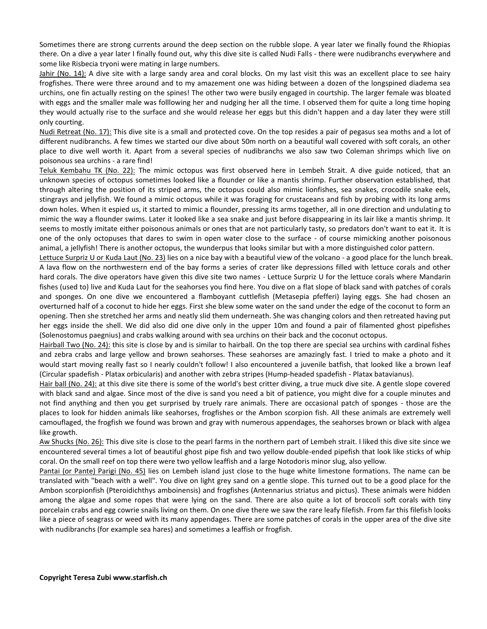Sometimes there are strong currents around the deep section on the rubble slope. A year later we finally found the Rhiopias there. On a dive a year later I finally found out, why this dive site is called Nudi Falls - there were nudibranchs everywhere and some like Risbecia tryoni were mating in large numbers.

Jahir (No. 14): A dive site with a large sandy area and coral blocks. On my last visit this was an excellent place to see hairy frogfishes. There were three around and to my amazement one was hiding between a dozen of the longspined diadema sea urchins, one fin actually resting on the spines! The other two were busily engaged in courtship. The larger female was bloated with eggs and the smaller male was folllowing her and nudging her all the time. I observed them for quite a long time hoping they would actually rise to the surface and she would release her eggs but this didn't happen and a day later they were still only courting.

Nudi Retreat (No. 17): This dive site is a small and protected cove. On the top resides a pair of pegasus sea moths and a lot of different nudibranchs. A few times we started our dive about 50m north on a beautiful wall covered with soft corals, an other place to dive well worth it. Apart from a several species of nudibranchs we also saw two Coleman shrimps which live on poisonous sea urchins - a rare find!

Teluk Kembahu TK (No. 22): The mimic octopus was first observed here in Lembeh Strait. A dive guide noticed, that an unknown species of octopus sometimes looked like a flounder or like a mantis shrimp. Further observation established, that through altering the position of its striped arms, the octopus could also mimic lionfishes, sea snakes, crocodile snake eels, stingrays and jellyfish. We found a mimic octopus while it was foraging for crustaceans and fish by probing with its long arms down holes. When it espied us, it started to mimic a flounder, pressing its arms together, all in one direction and undulating to mimic the way a flounder swims. Later it looked like a sea snake and just before disappearing in its lair like a mantis shrimp. It seems to mostly imitate either poisonous animals or ones that are not particularly tasty, so predators don't want to eat it. It is one of the only octopuses that dares to swim in open water close to the surface - of course mimicking another poisonous animal, a jellyfish! There is another octopus, the wunderpus that looks similar but with a more distinguished color pattern.

Lettuce Surpriz U or Kuda Laut (No. 23) lies on a nice bay with a beautiful view of the volcano - a good place for the lunch break. A lava flow on the northwestern end of the bay forms a series of crater like depressions filled with lettuce corals and other hard corals. The dive operators have given this dive site two names - Lettuce Surpriz U for the lettuce corals where Mandarin fishes (used to) live and Kuda Laut for the seahorses you find here. You dive on a flat slope of black sand with patches of corals and sponges. On one dive we encountered a flamboyant cuttlefish (Metasepia pfefferi) laying eggs. She had chosen an overturned half of a coconut to hide her eggs. First she blew some water on the sand under the edge of the coconut to form an opening. Then she stretched her arms and neatly slid them underneath. She was changing colors and then retreated having put her eggs inside the shell. We did also did one dive only in the upper 10m and found a pair of filamented ghost pipefishes (Solenostomus paegnius) and crabs walking around with sea urchins on their back and the coconut octopus.

Hairball Two (No. 24): this site is close by and is similar to hairball. On the top there are special sea urchins with cardinal fishes and zebra crabs and large yellow and brown seahorses. These seahorses are amazingly fast. I tried to make a photo and it would start moving really fast so I nearly couldn't follow! I also encountered a juvenile batfish, that looked like a brown leaf (Circular spadefish - Platax orbicularis) and another with zebra stripes (Hump-headed spadefish - Platax batavianus).

Hair ball (No. 24): at this dive site there is some of the world's best critter diving, a true muck dive site. A gentle slope covered with black sand and algae. Since most of the dive is sand you need a bit of patience, you might dive for a couple minutes and not find anything and then you get surprised by truely rare animals. There are occasional patch of sponges - those are the places to look for hidden animals like seahorses, frogfishes or the Ambon scorpion fish. All these animals are extremely well camouflaged, the frogfish we found was brown and gray with numerous appendages, the seahorses brown or black with algea like growth.

Aw Shucks (No. 26): This dive site is close to the pearl farms in the northern part of Lembeh strait. I liked this dive site since we encountered several times a lot of beautiful ghost pipe fish and two yellow double-ended pipefish that look like sticks of whip coral. On the small reef on top there were two yellow leaffish and a large Notodoris minor slug, also yellow.

Pantai (or Pante) Parigi (No. 45) lies on Lembeh island just close to the huge white limestone formations. The name can be translated with "beach with a well". You dive on light grey sand on a gentle slope. This turned out to be a good place for the Ambon scorpionfish (Pteroidichthys amboinensis) and frogfishes (Antennarius striatus and pictus). These animals were hidden among the algae and some ropes that were lying on the sand. There are also quite a lot of broccoli soft corals with tiny porcelain crabs and egg cowrie snails living on them. On one dive there we saw the rare leafy filefish. From far this filefish looks like a piece of seagrass or weed with its many appendages. There are some patches of corals in the upper area of the dive site with nudibranchs (for example sea hares) and sometimes a leaffish or frogfish.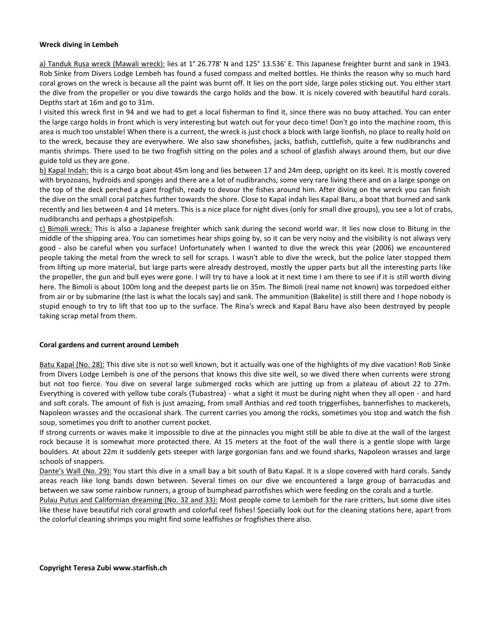### **Wreck diving in Lembeh**

a) Tanduk Rusa wreck (Mawali wreck): lies at 1° 26.778' N and 125° 13.536' E. This Japanese freighter burnt and sank in 1943. Rob Sinke from Divers Lodge Lembeh has found a fused compass and melted bottles. He thinks the reason why so much hard coral grows on the wreck is because all the paint was burnt off. It lies on the port side, large poles sticking out. You either start the dive from the propeller or you dive towards the cargo holds and the bow. It is nicely covered with beautiful hard corals. Depths start at 16m and go to 31m.

I visited this wreck first in 94 and we had to get a local fisherman to find it, since there was no buoy attached. You can enter the large cargo holds in front which is very interesting but watch out for your deco time! Don't go into the machine room, this area is much too unstable! When there is a current, the wreck is just chock a block with large lionfish, no place to really hold on to the wreck, because they are everywhere. We also saw shonefishes, jacks, batfish, cuttlefish, quite a few nudibranchs and mantis shrimps. There used to be two frogfish sitting on the poles and a school of glasfish always around them, but our dive guide told us they are gone.

b) Kapal Indah: this is a cargo boat about 45m long and lies between 17 and 24m deep, upright on its keel. It is mostly covered with bryozoans, hydroids and sponges and there are a lot of nudibranchs, some very rare living there and on a large sponge on the top of the deck perched a giant frogfish, ready to devour the fishes around him. After diving on the wreck you can finish the dive on the small coral patches further towards the shore. Close to Kapal indah lies Kapal Baru, a boat that burned and sank recently and lies between 4 and 14 meters. This is a nice place for night dives (only for small dive groups), you see a lot of crabs, nudibranchs and perhaps a ghostpipefish.

c) Bimoli wreck: This is also a Japanese freighter which sank during the second world war. It lies now close to Bitung in the middle of the shipping area. You can sometimes hear ships going by, so it can be very noisy and the visibility is not always very good - also be careful when you surface! Unfortunately when I wanted to dive the wreck this year (2006) we encountered people taking the metal from the wreck to sell for scraps. I wasn't able to dive the wreck, but the police later stopped them from lifting up more material, but large parts were already destroyed, mostly the upper parts but all the interesting parts like the propeller, the gun and bull eyes were gone. I will try to have a look at it next time I am there to see if it is still worth diving here. The Bimoli is about 100m long and the deepest parts lie on 35m. The Bimoli (real name not known) was torpedoed either from air or by submarine (the last is what the locals say) and sank. The ammunition (Bakelite) is still there and I hope nobody is stupid enough to try to lift that too up to the surface. The Rina's wreck and Kapal Baru have also been destroyed by people taking scrap metal from them.

### **Coral gardens and current around Lembeh**

Batu Kapal (No. 28): This dive site is not so well known, but it actually was one of the highlights of my dive vacation! Rob Sinke from Divers Lodge Lembeh is one of the persons that knows this dive site well, so we dived there when currents were strong but not too fierce. You dive on several large submerged rocks which are jutting up from a plateau of about 22 to 27m. Everything is covered with yellow tube corals (Tubastrea) - what a sight it must be during night when they all open - and hard and soft corals. The amount of fish is just amazing, from small Anthias and red tooth triggerfishes, bannerfishes to mackerels, Napoleon wrasses and the occasional shark. The current carries you among the rocks, sometimes you stop and watch the fish soup, sometimes you drift to another current pocket.

If strong currents or waves make it impossible to dive at the pinnacles you might still be able to dive at the wall of the largest rock because it is somewhat more protected there. At 15 meters at the foot of the wall there is a gentle slope with large boulders. At about 22m it suddenly gets steeper with large gorgonian fans and we found sharks, Napoleon wrasses and large schools of snappers.

Dante's Wall (No. 29): You start this dive in a small bay a bit south of Batu Kapal. It is a slope covered with hard corals. Sandy areas reach like long bands down between. Several times on our dive we encountered a large group of barracudas and between we saw some rainbow runners, a group of bumphead parrotfishes which were feeding on the corals and a turtle.

Pulau Putus and Californian dreaming (No. 32 and 33): Most people come to Lembeh for the rare critters, but some dive sites like these have beautiful rich coral growth and colorful reef fishes! Specially look out for the cleaning stations here, apart from the colorful cleaning shrimps you might find some leaffishes or frogfishes there also.